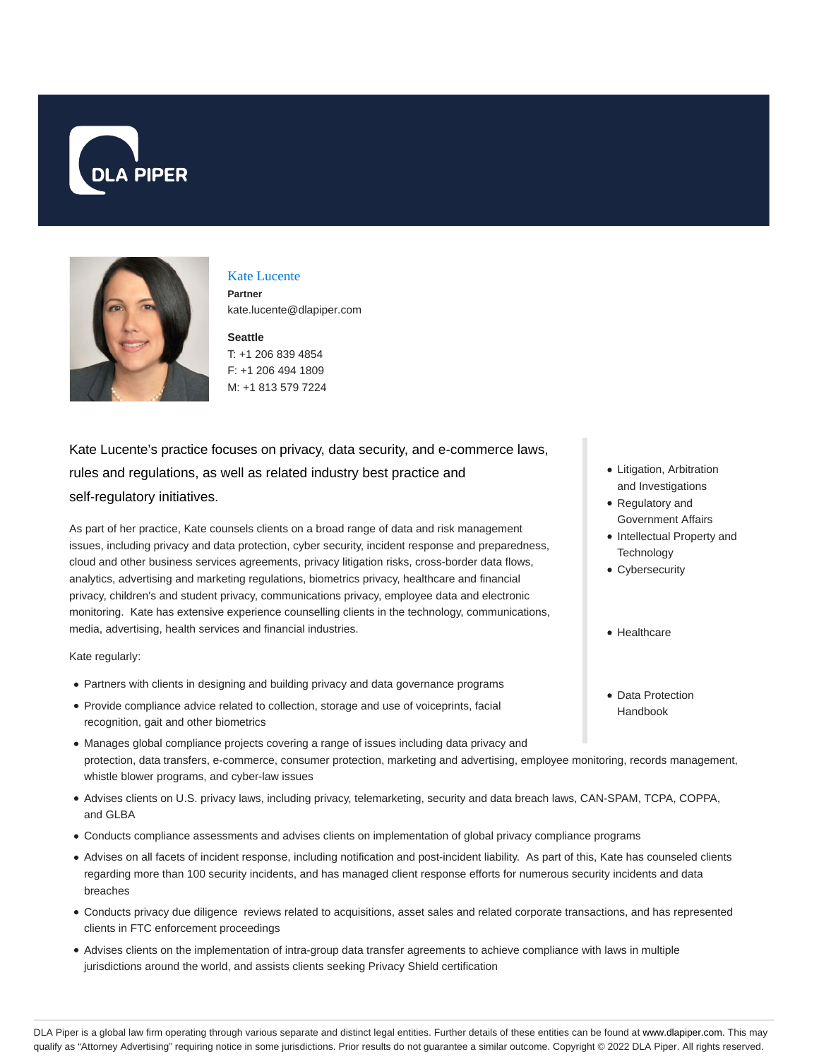



### Kate Lucente

**Partner** kate.lucente@dlapiper.com

## **Seattle**

T: +1 206 839 4854 F: +1 206 494 1809 M: +1 813 579 7224

# Kate Lucente's practice focuses on privacy, data security, and e-commerce laws, rules and regulations, as well as related industry best practice and self-regulatory initiatives.

As part of her practice, Kate counsels clients on a broad range of data and risk management issues, including privacy and data protection, cyber security, incident response and preparedness, cloud and other business services agreements, privacy litigation risks, cross-border data flows, analytics, advertising and marketing regulations, biometrics privacy, healthcare and financial privacy, children's and student privacy, communications privacy, employee data and electronic monitoring. Kate has extensive experience counselling clients in the technology, communications, media, advertising, health services and financial industries.

Kate regularly:

- Partners with clients in designing and building privacy and data governance programs
- Provide compliance advice related to collection, storage and use of voiceprints, facial recognition, gait and other biometrics
- Manages global compliance projects covering a range of issues including data privacy and protection, data transfers, e-commerce, consumer protection, marketing and advertising, employee monitoring, records management, whistle blower programs, and cyber-law issues
- Advises clients on U.S. privacy laws, including privacy, telemarketing, security and data breach laws, CAN-SPAM, TCPA, COPPA, and GLBA
- Conducts compliance assessments and advises clients on implementation of global privacy compliance programs
- Advises on all facets of incident response, including notification and post-incident liability. As part of this, Kate has counseled clients regarding more than 100 security incidents, and has managed client response efforts for numerous security incidents and data breaches
- Conducts privacy due diligence reviews related to acquisitions, asset sales and related corporate transactions, and has represented clients in FTC enforcement proceedings
- Advises clients on the implementation of intra-group data transfer agreements to achieve compliance with laws in multiple jurisdictions around the world, and assists clients seeking Privacy Shield certification
- Litigation, Arbitration and Investigations
- Regulatory and Government Affairs
- Intellectual Property and **Technology**
- Cybersecurity
- Healthcare
- Data Protection Handbook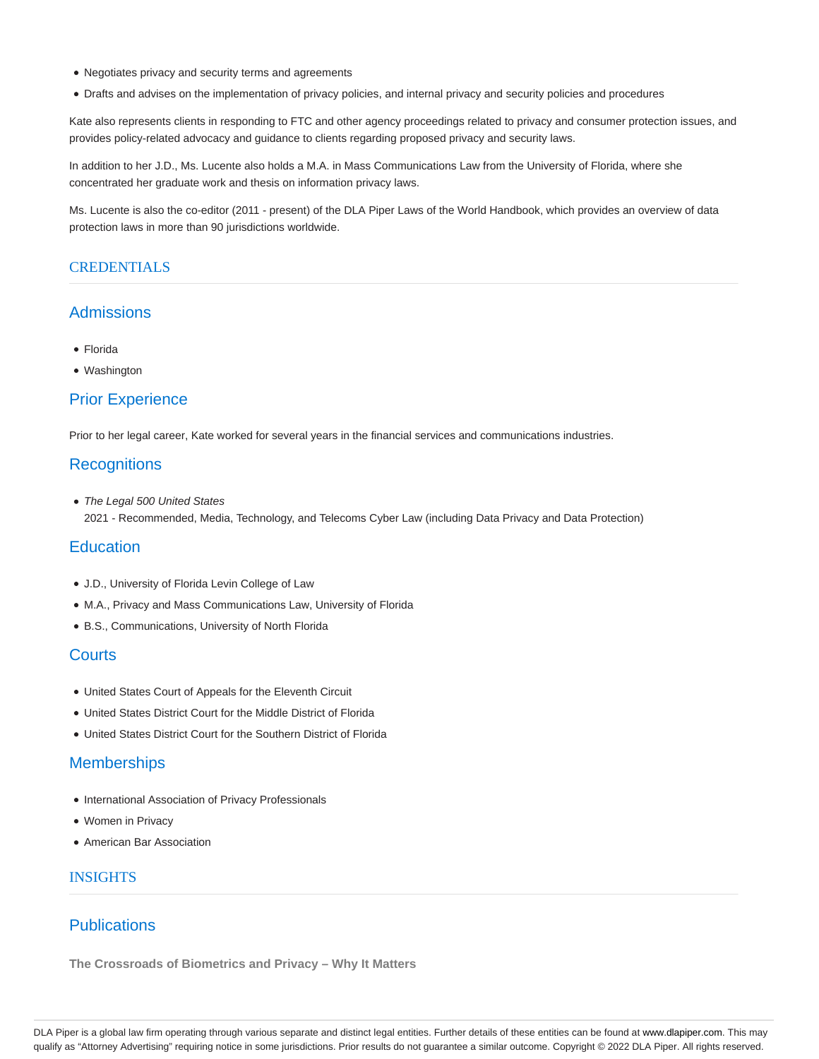- Negotiates privacy and security terms and agreements
- Drafts and advises on the implementation of privacy policies, and internal privacy and security policies and procedures

Kate also represents clients in responding to FTC and other agency proceedings related to privacy and consumer protection issues, and provides policy-related advocacy and guidance to clients regarding proposed privacy and security laws.

In addition to her J.D., Ms. Lucente also holds a M.A. in Mass Communications Law from the University of Florida, where she concentrated her graduate work and thesis on information privacy laws.

Ms. Lucente is also the co-editor (2011 - present) of the DLA Piper Laws of the World Handbook, which provides an overview of data protection laws in more than 90 jurisdictions worldwide.

#### **CREDENTIALS**

### Admissions

- Florida
- Washington

#### Prior Experience

Prior to her legal career, Kate worked for several years in the financial services and communications industries.

### **Recognitions**

• The Legal 500 United States 2021 - Recommended, Media, Technology, and Telecoms Cyber Law (including Data Privacy and Data Protection)

### **Education**

- J.D., University of Florida Levin College of Law
- M.A., Privacy and Mass Communications Law, University of Florida
- B.S., Communications, University of North Florida

### **Courts**

- United States Court of Appeals for the Eleventh Circuit
- United States District Court for the Middle District of Florida
- United States District Court for the Southern District of Florida

#### **Memberships**

- International Association of Privacy Professionals
- Women in Privacy
- American Bar Association

#### INSIGHTS

## **Publications**

**The Crossroads of Biometrics and Privacy – Why It Matters**

DLA Piper is a global law firm operating through various separate and distinct legal entities. Further details of these entities can be found at www.dlapiper.com. This may qualify as "Attorney Advertising" requiring notice in some jurisdictions. Prior results do not guarantee a similar outcome. Copyright © 2022 DLA Piper. All rights reserved.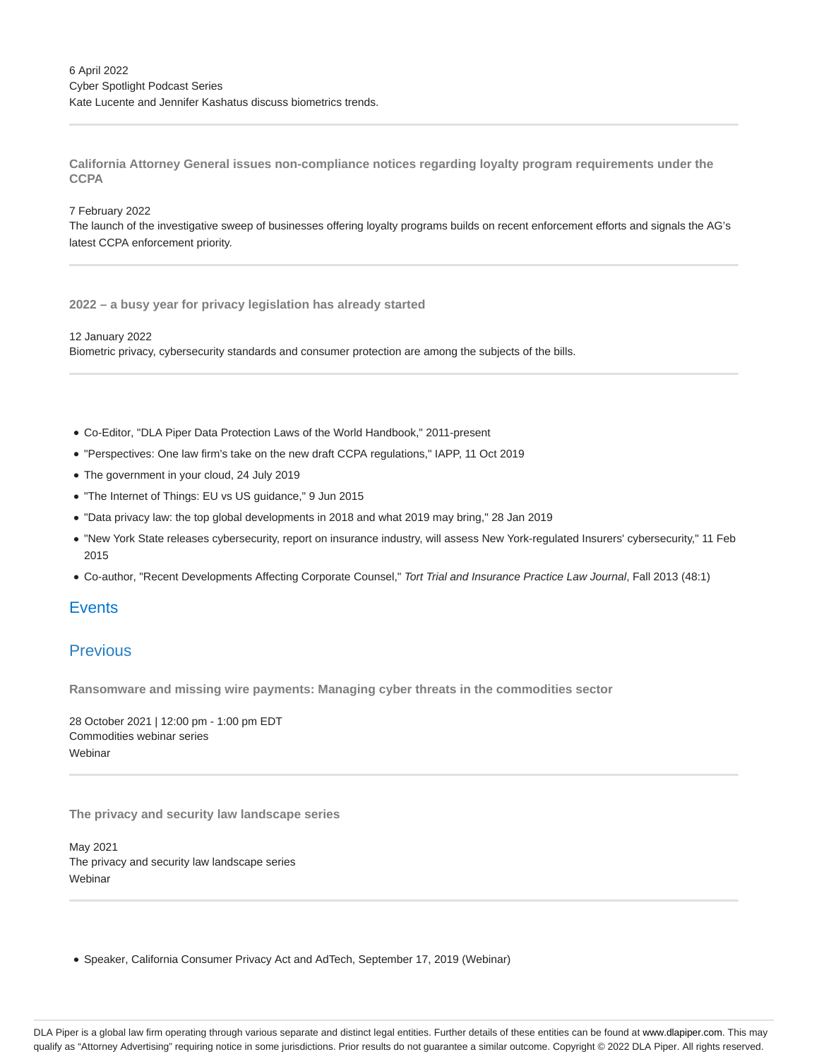**California Attorney General issues non-compliance notices regarding loyalty program requirements under the CCPA**

#### 7 February 2022

The launch of the investigative sweep of businesses offering loyalty programs builds on recent enforcement efforts and signals the AG's latest CCPA enforcement priority.

**2022 – a busy year for privacy legislation has already started**

12 January 2022 Biometric privacy, cybersecurity standards and consumer protection are among the subjects of the bills.

- Co-Editor, "DLA Piper Data Protection Laws of the World Handbook," 2011-present
- "Perspectives: One law firm's take on the new draft CCPA regulations," IAPP, 11 Oct 2019
- The government in your cloud, 24 July 2019
- "The Internet of Things: EU vs US guidance," 9 Jun 2015
- "Data privacy law: the top global developments in 2018 and what 2019 may bring," 28 Jan 2019
- "New York State releases cybersecurity, report on insurance industry, will assess New York-regulated Insurers' cybersecurity," 11 Feb 2015
- Co-author, "Recent Developments Affecting Corporate Counsel," Tort Trial and Insurance Practice Law Journal, Fall 2013 (48:1)

### **Events**

## Previous

**Ransomware and missing wire payments: Managing cyber threats in the commodities sector**

28 October 2021 | 12:00 pm - 1:00 pm EDT Commodities webinar series **Webinar** 

**The privacy and security law landscape series**

May 2021 The privacy and security law landscape series **Webinar** 

Speaker, California Consumer Privacy Act and AdTech, September 17, 2019 (Webinar)

DLA Piper is a global law firm operating through various separate and distinct legal entities. Further details of these entities can be found at www.dlapiper.com. This may qualify as "Attorney Advertising" requiring notice in some jurisdictions. Prior results do not guarantee a similar outcome. Copyright @ 2022 DLA Piper. All rights reserved.